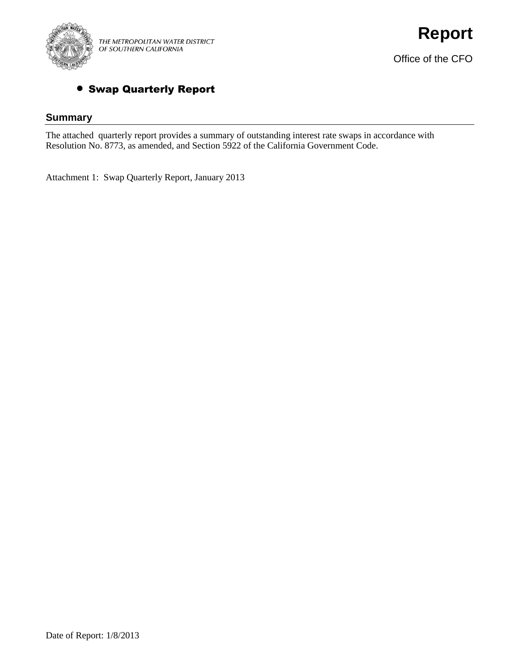

## Swap Quarterly Report

## **Summary**

The attached quarterly report provides a summary of outstanding interest rate swaps in accordance with Resolution No. 8773, as amended, and Section 5922 of the California Government Code.

Attachment 1: Swap Quarterly Report, January 2013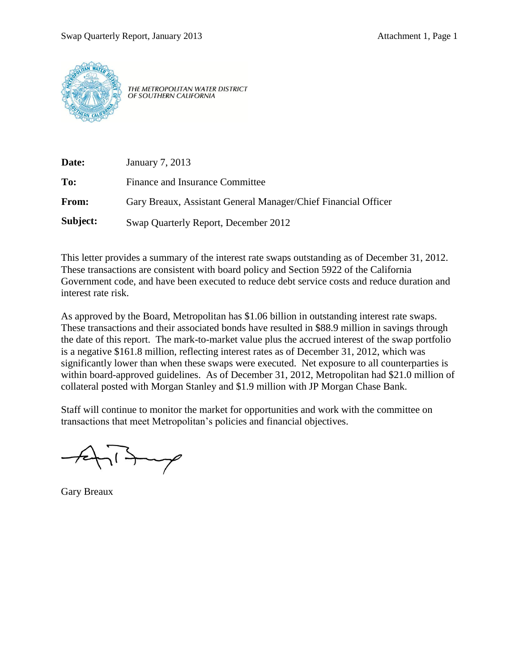

THE METROPOLITAN WATER DISTRICT OF SOUTHERN CALIFORNIA

| Date:    | January 7, 2013                                                |
|----------|----------------------------------------------------------------|
| To:      | Finance and Insurance Committee                                |
| From:    | Gary Breaux, Assistant General Manager/Chief Financial Officer |
| Subject: | Swap Quarterly Report, December 2012                           |

This letter provides a summary of the interest rate swaps outstanding as of December 31, 2012. These transactions are consistent with board policy and Section 5922 of the California Government code, and have been executed to reduce debt service costs and reduce duration and interest rate risk.

As approved by the Board, Metropolitan has \$1.06 billion in outstanding interest rate swaps. These transactions and their associated bonds have resulted in \$88.9 million in savings through the date of this report. The mark-to-market value plus the accrued interest of the swap portfolio is a negative \$161.8 million, reflecting interest rates as of December 31, 2012, which was significantly lower than when these swaps were executed. Net exposure to all counterparties is within board-approved guidelines. As of December 31, 2012, Metropolitan had \$21.0 million of collateral posted with Morgan Stanley and \$1.9 million with JP Morgan Chase Bank.

Staff will continue to monitor the market for opportunities and work with the committee on transactions that meet Metropolitan's policies and financial objectives.

Gary Breaux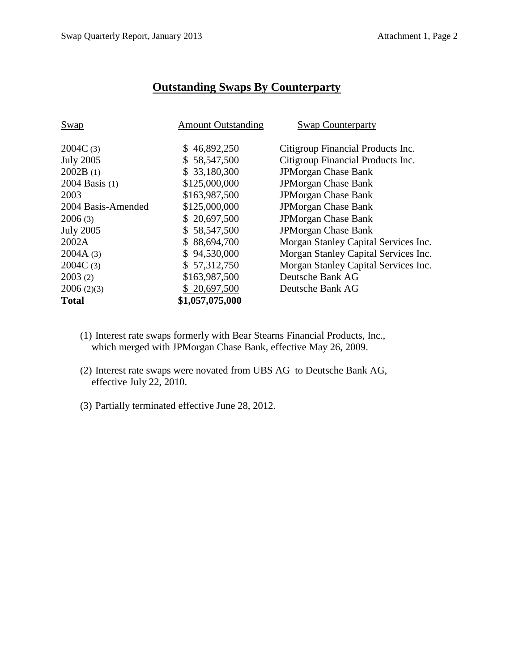## **Outstanding Swaps By Counterparty**

| <b>Swap</b>        | <b>Amount Outstanding</b> | <b>Swap Counterparty</b>             |
|--------------------|---------------------------|--------------------------------------|
|                    |                           |                                      |
| 2004C(3)           | \$46,892,250              | Citigroup Financial Products Inc.    |
| <b>July 2005</b>   | \$58,547,500              | Citigroup Financial Products Inc.    |
| 2002B(1)           | \$33,180,300              | <b>JPMorgan Chase Bank</b>           |
| 2004 Basis (1)     | \$125,000,000             | <b>JPMorgan Chase Bank</b>           |
| 2003               | \$163,987,500             | <b>JPMorgan Chase Bank</b>           |
| 2004 Basis-Amended | \$125,000,000             | <b>JPMorgan Chase Bank</b>           |
| 2006(3)            | \$20,697,500              | <b>JPMorgan Chase Bank</b>           |
| <b>July 2005</b>   | \$58,547,500              | <b>JPMorgan Chase Bank</b>           |
| 2002A              | \$88,694,700              | Morgan Stanley Capital Services Inc. |
| 2004A(3)           | \$94,530,000              | Morgan Stanley Capital Services Inc. |
| 2004C(3)           | \$57,312,750              | Morgan Stanley Capital Services Inc. |
| 2003(2)            | \$163,987,500             | Deutsche Bank AG                     |
| 2006(2)(3)         | \$20,697,500              | Deutsche Bank AG                     |
| <b>Total</b>       | \$1,057,075,000           |                                      |

- (1) Interest rate swaps formerly with Bear Stearns Financial Products, Inc., which merged with JPMorgan Chase Bank, effective May 26, 2009.
- (2) Interest rate swaps were novated from UBS AG to Deutsche Bank AG, effective July 22, 2010.
- (3) Partially terminated effective June 28, 2012.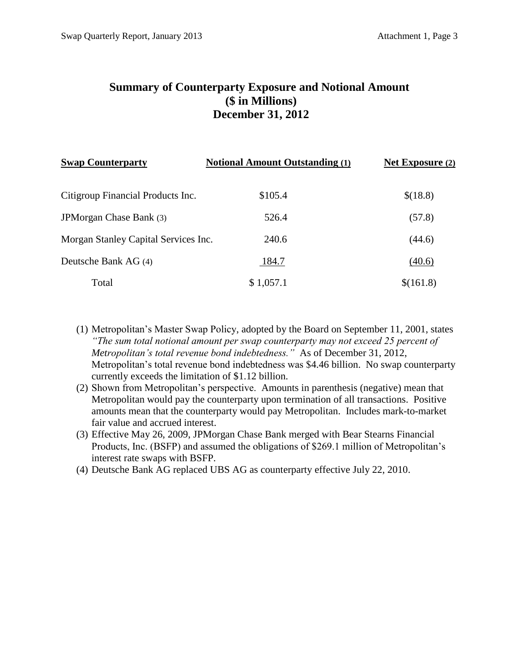## **Summary of Counterparty Exposure and Notional Amount (\$ in Millions) December 31, 2012**

| <b>Swap Counterparty</b>             | <b>Notional Amount Outstanding (1)</b> | <b>Net Exposure (2)</b> |
|--------------------------------------|----------------------------------------|-------------------------|
| Citigroup Financial Products Inc.    | \$105.4                                | \$(18.8)                |
| JPM organ Chase Bank (3)             | 526.4                                  | (57.8)                  |
| Morgan Stanley Capital Services Inc. | 240.6                                  | (44.6)                  |
| Deutsche Bank AG (4)                 | 184.7                                  | (40.6)                  |
| Total                                | \$1,057.1                              | \$(161.8)               |

- (1) Metropolitan's Master Swap Policy, adopted by the Board on September 11, 2001, states *"The sum total notional amount per swap counterparty may not exceed 25 percent of Metropolitan's total revenue bond indebtedness."* As of December 31, 2012, Metropolitan's total revenue bond indebtedness was \$4.46 billion. No swap counterparty currently exceeds the limitation of \$1.12 billion.
- (2) Shown from Metropolitan's perspective. Amounts in parenthesis (negative) mean that Metropolitan would pay the counterparty upon termination of all transactions. Positive amounts mean that the counterparty would pay Metropolitan. Includes mark-to-market fair value and accrued interest.
- (3) Effective May 26, 2009, JPMorgan Chase Bank merged with Bear Stearns Financial Products, Inc. (BSFP) and assumed the obligations of \$269.1 million of Metropolitan's interest rate swaps with BSFP.
- (4) Deutsche Bank AG replaced UBS AG as counterparty effective July 22, 2010.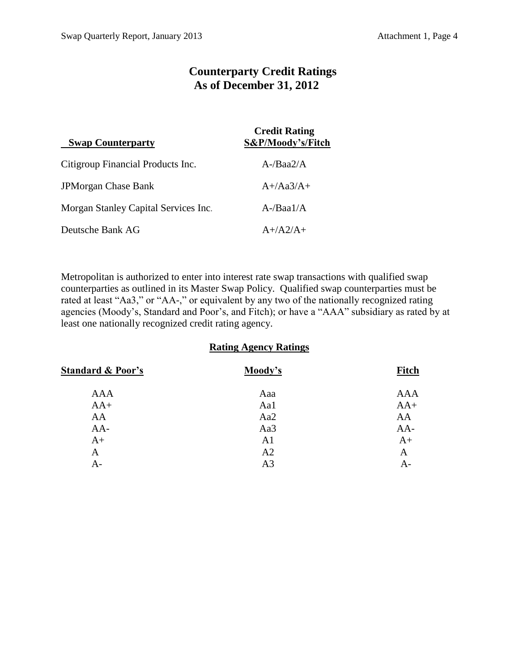# **Counterparty Credit Ratings As of December 31, 2012**

| <b>Swap Counterparty</b>             | <b>Credit Rating</b><br>S&P/Moody's/Fitch |  |
|--------------------------------------|-------------------------------------------|--|
| Citigroup Financial Products Inc.    | $A$ -/Baa2/A                              |  |
| <b>JPMorgan Chase Bank</b>           | $A+}/Aa3/A+$                              |  |
| Morgan Stanley Capital Services Inc. | $A$ -/Baa $1/A$                           |  |
| Deutsche Bank AG                     | $A+/A2/A+$                                |  |

Metropolitan is authorized to enter into interest rate swap transactions with qualified swap counterparties as outlined in its Master Swap Policy. Qualified swap counterparties must be rated at least "Aa3," or "AA-," or equivalent by any two of the nationally recognized rating agencies (Moody's, Standard and Poor's, and Fitch); or have a "AAA" subsidiary as rated by at least one nationally recognized credit rating agency.

### **Rating Agency Ratings**

| Moody's        | <b>Fitch</b> |
|----------------|--------------|
| Aaa            | <b>AAA</b>   |
| Aa1            | $AA+$        |
| Aa2            | AA           |
| Aa3            | $AA-$        |
| A <sub>1</sub> | $A+$         |
| A2             | A            |
| A <sub>3</sub> | A-           |
|                |              |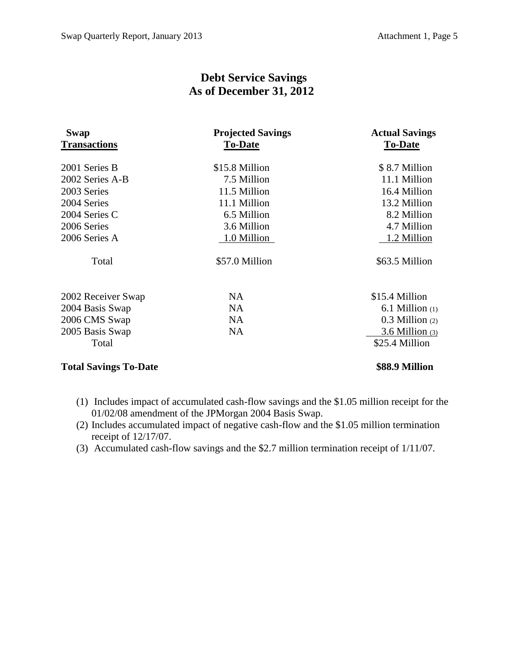# **Debt Service Savings As of December 31, 2012**

| Swap                         | <b>Projected Savings</b> | <b>Actual Savings</b> |
|------------------------------|--------------------------|-----------------------|
| <b>Transactions</b>          | <b>To-Date</b>           | <b>To-Date</b>        |
| 2001 Series B                | \$15.8 Million           | \$8.7 Million         |
| 2002 Series A-B              | 7.5 Million              | 11.1 Million          |
| 2003 Series                  | 11.5 Million             | 16.4 Million          |
| 2004 Series                  | 11.1 Million             | 13.2 Million          |
| 2004 Series C                | 6.5 Million              | 8.2 Million           |
| 2006 Series                  | 3.6 Million              | 4.7 Million           |
| 2006 Series A                | 1.0 Million              | 1.2 Million           |
| Total                        | \$57.0 Million           | \$63.5 Million        |
| 2002 Receiver Swap           | NA.                      | \$15.4 Million        |
| 2004 Basis Swap              | <b>NA</b>                | $6.1$ Million $(1)$   |
| 2006 CMS Swap                | <b>NA</b>                | $0.3$ Million $(2)$   |
| 2005 Basis Swap              | <b>NA</b>                | $3.6$ Million $(3)$   |
| Total                        |                          | \$25.4 Million        |
| <b>Total Savings To-Date</b> |                          | \$88.9 Million        |

- (1) Includes impact of accumulated cash-flow savings and the \$1.05 million receipt for the
- 01/02/08 amendment of the JPMorgan 2004 Basis Swap.
- (2) Includes accumulated impact of negative cash-flow and the \$1.05 million termination receipt of 12/17/07.
- (3) Accumulated cash-flow savings and the \$2.7 million termination receipt of 1/11/07.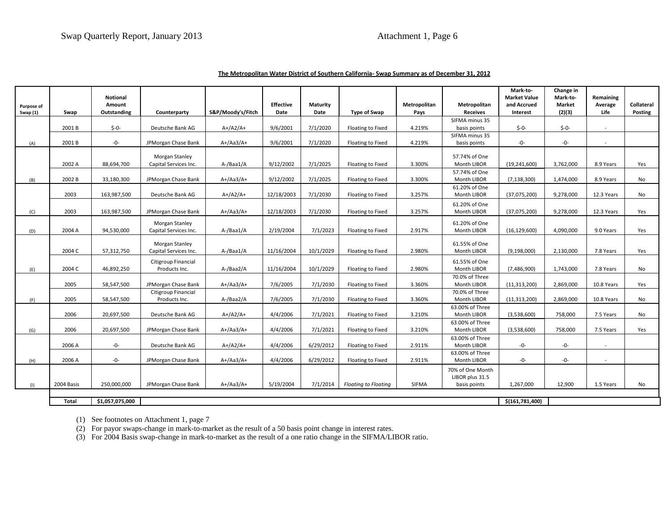| The Metropolitan Water District of Southern California-Swap Summary as of December 31, 2012 |
|---------------------------------------------------------------------------------------------|
|---------------------------------------------------------------------------------------------|

| Purpose of<br>Swap (1) | Swap       | Notional<br>Amount<br>Outstanding | Counterparty                            | S&P/Moody's/Fitch | <b>Effective</b><br>Date | Maturity<br>Date | <b>Type of Swap</b>         | Metropolitan<br>Pays | Metropolitan<br><b>Receives</b>                     | Mark-to-<br><b>Market Value</b><br>and Accrued<br>Interest | Change in<br>Mark-to-<br>Market<br>(2)(3) | Remaining<br>Average<br>Life | <b>Collateral</b><br>Posting |
|------------------------|------------|-----------------------------------|-----------------------------------------|-------------------|--------------------------|------------------|-----------------------------|----------------------|-----------------------------------------------------|------------------------------------------------------------|-------------------------------------------|------------------------------|------------------------------|
|                        |            |                                   |                                         |                   |                          |                  |                             |                      | SIFMA minus 35                                      |                                                            |                                           |                              |                              |
|                        | 2001 B     | $$-0-$                            | Deutsche Bank AG                        | $A+/A2/A+$        | 9/6/2001                 | 7/1/2020         | Floating to Fixed           | 4.219%               | basis points<br>SIFMA minus 35                      | $$-0-$                                                     | $$ -0-$                                   | $\overline{\phantom{a}}$     |                              |
| (A)                    | 2001B      | $-0-$                             | JPMorgan Chase Bank                     | $A+/Aa3/A+$       | 9/6/2001                 | 7/1/2020         | Floating to Fixed           | 4.219%               | basis points                                        | $-0-$                                                      | $-0-$                                     |                              |                              |
|                        | 2002 A     | 88,694,700                        | Morgan Stanley<br>Capital Services Inc. | A-/Baa1/A         | 9/12/2002                | 7/1/2025         | Floating to Fixed           | 3.300%               | 57.74% of One<br>Month LIBOR                        | (19, 241, 600)                                             | 3,762,000                                 | 8.9 Years                    | Yes                          |
| (B)                    | 2002 B     | 33,180,300                        | JPMorgan Chase Bank                     | $A+/Aa3/A+$       | 9/12/2002                | 7/1/2025         | Floating to Fixed           | 3.300%               | 57.74% of One<br>Month LIBOR                        | (7, 138, 300)                                              | 1,474,000                                 | 8.9 Years                    | No                           |
|                        | 2003       | 163,987,500                       | Deutsche Bank AG                        | $A+/A2/A+$        | 12/18/2003               | 7/1/2030         | Floating to Fixed           | 3.257%               | 61.20% of One<br>Month LIBOR                        | (37,075,200)                                               | 9,278,000                                 | 12.3 Years                   | No                           |
| (C)                    | 2003       | 163,987,500                       | JPMorgan Chase Bank                     | $A+/Aa3/A+$       | 12/18/2003               | 7/1/2030         | Floating to Fixed           | 3.257%               | 61.20% of One<br>Month LIBOR                        | (37,075,200)                                               | 9,278,000                                 | 12.3 Years                   | Yes                          |
| (D)                    | 2004 A     | 94,530,000                        | Morgan Stanley<br>Capital Services Inc. | A-/Baa1/A         | 2/19/2004                | 7/1/2023         | Floating to Fixed           | 2.917%               | 61.20% of One<br>Month LIBOR                        | (16, 129, 600)                                             | 4,090,000                                 | 9.0 Years                    | Yes                          |
|                        | 2004 C     | 57,312,750                        | Morgan Stanley<br>Capital Services Inc. | A-/Baa1/A         | 11/16/2004               | 10/1/2029        | Floating to Fixed           | 2.980%               | 61.55% of One<br>Month LIBOR                        | (9, 198, 000)                                              | 2,130,000                                 | 7.8 Years                    | Yes                          |
| (E)                    | 2004 C     | 46,892,250                        | Citigroup Financial<br>Products Inc.    | A-/Baa2/A         | 11/16/2004               | 10/1/2029        | Floating to Fixed           | 2.980%               | 61.55% of One<br>Month LIBOR                        | (7,486,900)                                                | 1,743,000                                 | 7.8 Years                    | No                           |
|                        | 2005       | 58,547,500                        | JPMorgan Chase Bank                     | A+/Aa3/A+         | 7/6/2005                 | 7/1/2030         | Floating to Fixed           | 3.360%               | 70.0% of Three<br>Month LIBOR                       | (11, 313, 200)                                             | 2,869,000                                 | 10.8 Years                   | Yes                          |
| (F)                    | 2005       | 58,547,500                        | Citigroup Financial<br>Products Inc.    | A-/Baa2/A         | 7/6/2005                 | 7/1/2030         | Floating to Fixed           | 3.360%               | 70.0% of Three<br>Month LIBOR                       | (11, 313, 200)                                             | 2,869,000                                 | 10.8 Years                   | No                           |
|                        | 2006       | 20,697,500                        | Deutsche Bank AG                        | $A+/A2/A+$        | 4/4/2006                 | 7/1/2021         | Floating to Fixed           | 3.210%               | 63.00% of Three<br>Month LIBOR                      | (3,538,600)                                                | 758,000                                   | 7.5 Years                    | No                           |
| (G)                    | 2006       | 20,697,500                        | JPMorgan Chase Bank                     | $A+/Aa3/A+$       | 4/4/2006                 | 7/1/2021         | Floating to Fixed           | 3.210%               | 63.00% of Three<br>Month LIBOR                      | (3,538,600)                                                | 758,000                                   | 7.5 Years                    | Yes                          |
|                        | 2006 A     | -0-                               | Deutsche Bank AG                        | $A+/A2/A+$        | 4/4/2006                 | 6/29/2012        | Floating to Fixed           | 2.911%               | 63.00% of Three<br>Month LIBOR                      | -0-                                                        | -0-                                       | $\overline{a}$               |                              |
| (H)                    | 2006 A     | $-0-$                             | JPMorgan Chase Bank                     | $A+/Aa3/A+$       | 4/4/2006                 | 6/29/2012        | Floating to Fixed           | 2.911%               | 63.00% of Three<br>Month LIBOR                      | -0-                                                        | -0-                                       | $\sim$                       |                              |
| (1)                    | 2004 Basis | 250,000,000                       | JPMorgan Chase Bank                     | $A+/Aa3/A+$       | 5/19/2004                | 7/1/2014         | <b>Floating to Floating</b> | <b>SIFMA</b>         | 70% of One Month<br>LIBOR plus 31.5<br>basis points | 1,267,000                                                  | 12,900                                    | 1.5 Years                    | No                           |
|                        |            |                                   |                                         |                   |                          |                  |                             |                      |                                                     |                                                            |                                           |                              |                              |
|                        | Total      | \$1,057,075,000                   |                                         |                   |                          |                  |                             |                      |                                                     | \$(161,781,400)                                            |                                           |                              |                              |

(1) See footnotes on Attachment 1, page 7

(2) For payor swaps-change in mark-to-market as the result of a 50 basis point change in interest rates.

(3) For 2004 Basis swap-change in mark-to-market as the result of a one ratio change in the SIFMA/LIBOR ratio.